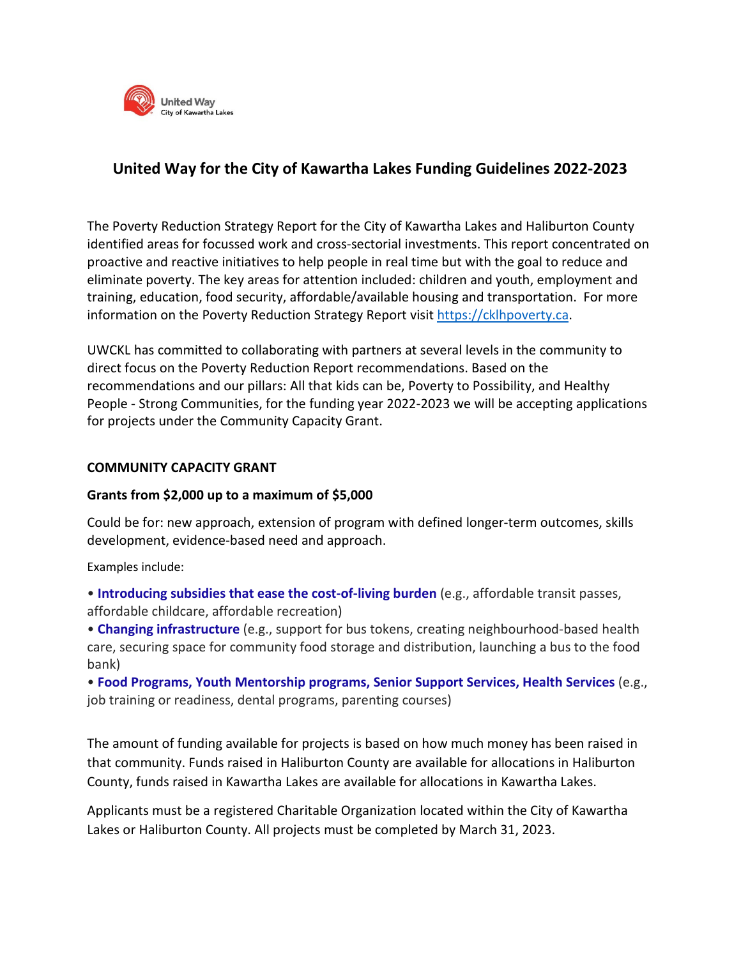

## **United Way for the City of Kawartha Lakes Funding Guidelines 2022-2023**

The Poverty Reduction Strategy Report for the City of Kawartha Lakes and Haliburton County identified areas for focussed work and cross-sectorial investments. This report concentrated on proactive and reactive initiatives to help people in real time but with the goal to reduce and eliminate poverty. The key areas for attention included: children and youth, employment and training, education, food security, affordable/available housing and transportation. For more information on the Poverty Reduction Strategy Report visit [https://cklhpoverty.ca.](https://cklhpoverty.ca/)

UWCKL has committed to collaborating with partners at several levels in the community to direct focus on the Poverty Reduction Report recommendations. Based on the recommendations and our pillars: All that kids can be, Poverty to Possibility, and Healthy People - Strong Communities, for the funding year 2022-2023 we will be accepting applications for projects under the Community Capacity Grant.

## **COMMUNITY CAPACITY GRANT**

## **Grants from \$2,000 up to a maximum of \$5,000**

Could be for: new approach, extension of program with defined longer-term outcomes, skills development, evidence-based need and approach.

Examples include:

• **Introducing subsidies that ease the cost-of-living burden** (e.g., affordable transit passes, affordable childcare, affordable recreation)

• **Changing infrastructure** (e.g., support for bus tokens, creating neighbourhood-based health care, securing space for community food storage and distribution, launching a bus to the food bank)

• **Food Programs, Youth Mentorship programs, Senior Support Services, Health Services** (e.g., job training or readiness, dental programs, parenting courses)

The amount of funding available for projects is based on how much money has been raised in that community. Funds raised in Haliburton County are available for allocations in Haliburton County, funds raised in Kawartha Lakes are available for allocations in Kawartha Lakes.

Applicants must be a registered Charitable Organization located within the City of Kawartha Lakes or Haliburton County. All projects must be completed by March 31, 2023.